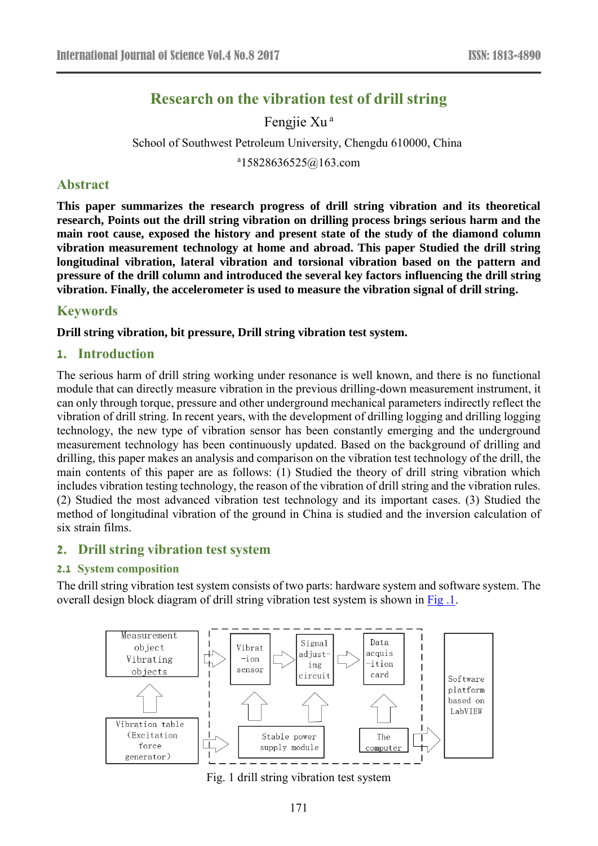# **Research on the vibration test of drill string**

Fengjie Xu<sup>a</sup>

School of Southwest Petroleum University, Chengdu 610000, China

a 15828636525@163.com

### **Abstract**

**This paper summarizes the research progress of drill string vibration and its theoretical research, Points out the drill string vibration on drilling process brings serious harm and the main root cause, exposed the history and present state of the study of the diamond column vibration measurement technology at home and abroad. This paper Studied the drill string longitudinal vibration, lateral vibration and torsional vibration based on the pattern and pressure of the drill column and introduced the several key factors influencing the drill string vibration. Finally, the accelerometer is used to measure the vibration signal of drill string.** 

# **Keywords**

**Drill string vibration, bit pressure, Drill string vibration test system.** 

# **1. Introduction**

The serious harm of drill string working under resonance is well known, and there is no functional module that can directly measure vibration in the previous drilling-down measurement instrument, it can only through torque, pressure and other underground mechanical parameters indirectly reflect the vibration of drill string. In recent years, with the development of drilling logging and drilling logging technology, the new type of vibration sensor has been constantly emerging and the underground measurement technology has been continuously updated. Based on the background of drilling and drilling, this paper makes an analysis and comparison on the vibration test technology of the drill, the main contents of this paper are as follows: (1) Studied the theory of drill string vibration which includes vibration testing technology, the reason of the vibration of drill string and the vibration rules. (2) Studied the most advanced vibration test technology and its important cases. (3) Studied the method of longitudinal vibration of the ground in China is studied and the inversion calculation of six strain films.

#### **2. Drill string vibration test system**

#### **2.1 System composition**

The drill string vibration test system consists of two parts: hardware system and software system. The overall design block diagram of drill string vibration test system is shown in Fig .1.



Fig. 1 drill string vibration test system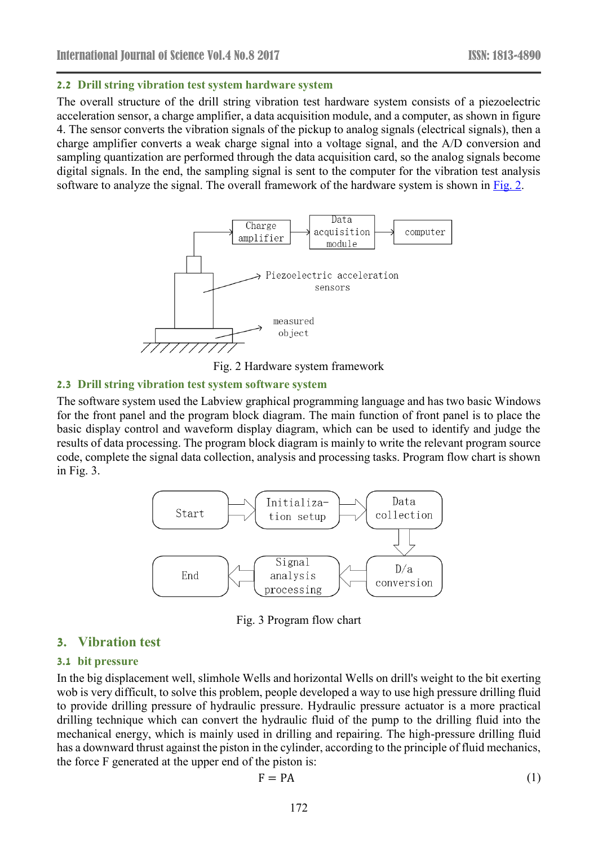#### **2.2 Drill string vibration test system hardware system**

The overall structure of the drill string vibration test hardware system consists of a piezoelectric acceleration sensor, a charge amplifier, a data acquisition module, and a computer, as shown in figure 4. The sensor converts the vibration signals of the pickup to analog signals (electrical signals), then a charge amplifier converts a weak charge signal into a voltage signal, and the A/D conversion and sampling quantization are performed through the data acquisition card, so the analog signals become digital signals. In the end, the sampling signal is sent to the computer for the vibration test analysis software to analyze the signal. The overall framework of the hardware system is shown in Fig. 2.



Fig. 2 Hardware system framework

#### **2.3 Drill string vibration test system software system**

The software system used the Labview graphical programming language and has two basic Windows for the front panel and the program block diagram. The main function of front panel is to place the basic display control and waveform display diagram, which can be used to identify and judge the results of data processing. The program block diagram is mainly to write the relevant program source code, complete the signal data collection, analysis and processing tasks. Program flow chart is shown in Fig. 3.



Fig. 3 Program flow chart

# **3. Vibration test**

#### **3.1 bit pressure**

In the big displacement well, slimhole Wells and horizontal Wells on drill's weight to the bit exerting wob is very difficult, to solve this problem, people developed a way to use high pressure drilling fluid to provide drilling pressure of hydraulic pressure. Hydraulic pressure actuator is a more practical drilling technique which can convert the hydraulic fluid of the pump to the drilling fluid into the mechanical energy, which is mainly used in drilling and repairing. The high-pressure drilling fluid has a downward thrust against the piston in the cylinder, according to the principle of fluid mechanics, the force F generated at the upper end of the piston is:

$$
F = PA
$$
 (1)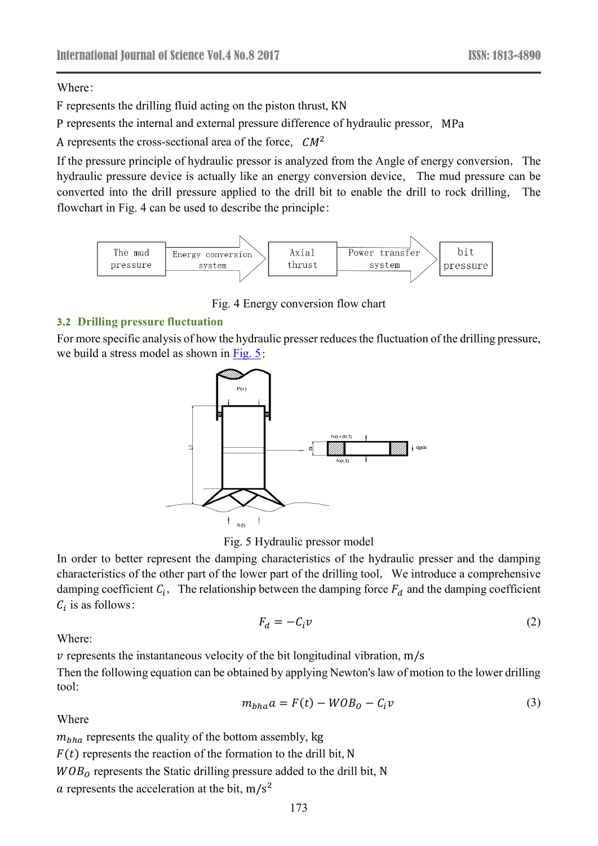Where:

F represents the drilling fluid acting on the piston thrust, KN

P represents the internal and external pressure difference of hydraulic pressor, MPa

A represents the cross-sectional area of the force,  $CM^2$ 

If the pressure principle of hydraulic pressor is analyzed from the Angle of energy conversion, The hydraulic pressure device is actually like an energy conversion device, The mud pressure can be converted into the drill pressure applied to the drill bit to enable the drill to rock drilling, The flowchart in Fig. 4 can be used to describe the principle:



Fig. 4 Energy conversion flow chart

# **3.2 Drilling pressure fluctuation**

For more specific analysis of how the hydraulic presser reduces the fluctuation of the drilling pressure, we build a stress model as shown in  $Fig. 5$ :



Fig. 5 Hydraulic pressor model

In order to better represent the damping characteristics of the hydraulic presser and the damping characteristics of the other part of the lower part of the drilling tool, We introduce a comprehensive damping coefficient  $C_i$ , The relationship between the damping force  $F_d$  and the damping coefficient  $C_i$  is as follows:

$$
F_d = -C_i v \tag{2}
$$

Where:

 $\nu$  represents the instantaneous velocity of the bit longitudinal vibration, m/s

Then the following equation can be obtained by applying Newton's law of motion to the lower drilling tool:

$$
m_{bha}a = F(t) - WOB_0 - C_i v \tag{3}
$$

Where

 $m_{bha}$  represents the quality of the bottom assembly, kg  $F(t)$  represents the reaction of the formation to the drill bit, N

 $WOB<sub>o</sub>$  represents the Static drilling pressure added to the drill bit, N

 $\alpha$  represents the acceleration at the bit, m/s<sup>2</sup>